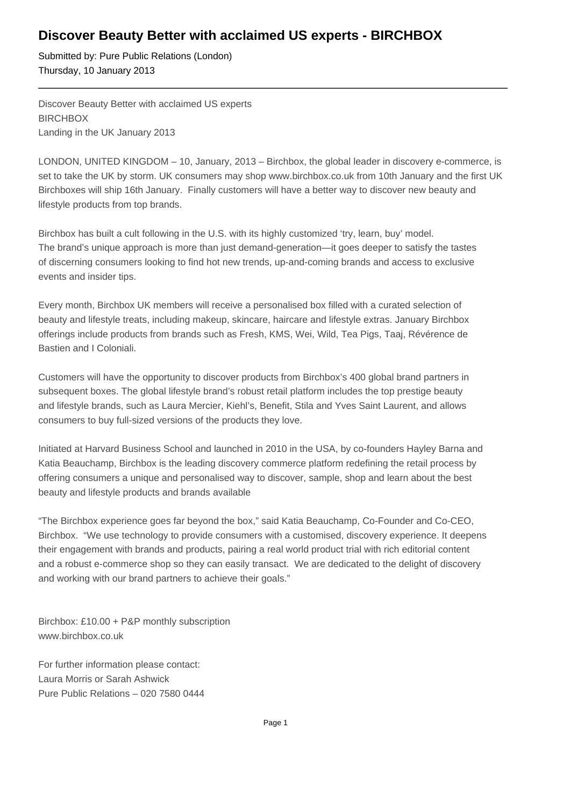## **Discover Beauty Better with acclaimed US experts - BIRCHBOX**

Submitted by: Pure Public Relations (London) Thursday, 10 January 2013

Discover Beauty Better with acclaimed US experts **BIRCHBOX** Landing in the UK January 2013

LONDON, UNITED KINGDOM – 10, January, 2013 – Birchbox, the global leader in discovery e-commerce, is set to take the UK by storm. UK consumers may shop www.birchbox.co.uk from 10th January and the first UK Birchboxes will ship 16th January. Finally customers will have a better way to discover new beauty and lifestyle products from top brands.

Birchbox has built a cult following in the U.S. with its highly customized 'try, learn, buy' model. The brand's unique approach is more than just demand-generation—it goes deeper to satisfy the tastes of discerning consumers looking to find hot new trends, up-and-coming brands and access to exclusive events and insider tips.

Every month, Birchbox UK members will receive a personalised box filled with a curated selection of beauty and lifestyle treats, including makeup, skincare, haircare and lifestyle extras. January Birchbox offerings include products from brands such as Fresh, KMS, Wei, Wild, Tea Pigs, Taaj, Révérence de Bastien and I Coloniali.

Customers will have the opportunity to discover products from Birchbox's 400 global brand partners in subsequent boxes. The global lifestyle brand's robust retail platform includes the top prestige beauty and lifestyle brands, such as Laura Mercier, Kiehl's, Benefit, Stila and Yves Saint Laurent, and allows consumers to buy full-sized versions of the products they love.

Initiated at Harvard Business School and launched in 2010 in the USA, by co-founders Hayley Barna and Katia Beauchamp, Birchbox is the leading discovery commerce platform redefining the retail process by offering consumers a unique and personalised way to discover, sample, shop and learn about the best beauty and lifestyle products and brands available

"The Birchbox experience goes far beyond the box," said Katia Beauchamp, Co-Founder and Co-CEO, Birchbox. "We use technology to provide consumers with a customised, discovery experience. It deepens their engagement with brands and products, pairing a real world product trial with rich editorial content and a robust e-commerce shop so they can easily transact. We are dedicated to the delight of discovery and working with our brand partners to achieve their goals."

Birchbox: £10.00 + P&P monthly subscription www.birchbox.co.uk

For further information please contact: Laura Morris or Sarah Ashwick Pure Public Relations – 020 7580 0444